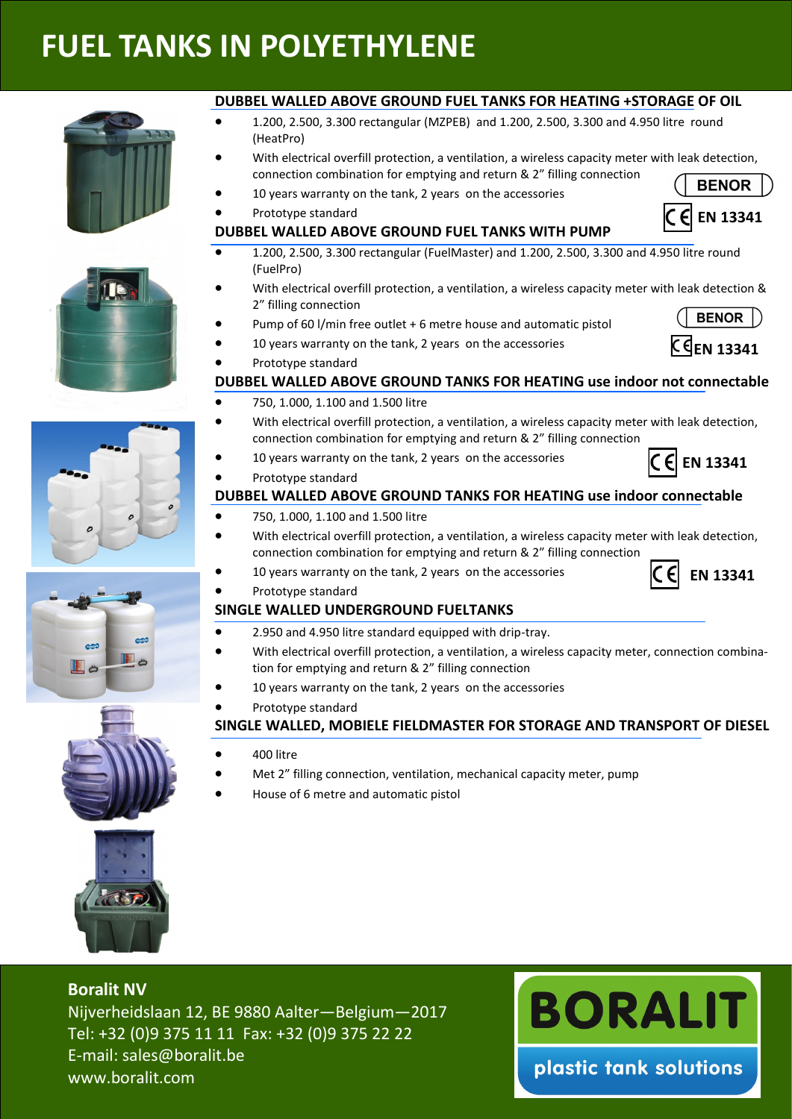# **FUEL TANKS IN POLYETHYLENE**











#### **DUBBEL WALLED ABOVE GROUND FUEL TANKS FOR HEATING +STORAGE OF OIL**

- 1.200, 2.500, 3.300 rectangular (MZPEB) and 1.200, 2.500, 3.300 and 4.950 litre round (HeatPro)
- With electrical overfill protection, a ventilation, a wireless capacity meter with leak detection, connection combination for emptying and return & 2" filling connection **BENOR**
- 10 years warranty on the tank, 2 years on the accessories
- Prototype standard
- **DUBBEL WALLED ABOVE GROUND FUEL TANKS WITH PUMP**
- 1.200, 2.500, 3.300 rectangular (FuelMaster) and 1.200, 2.500, 3.300 and 4.950 litre round (FuelPro)
- With electrical overfill protection, a ventilation, a wireless capacity meter with leak detection & 2" filling connection BENOR |)
- Pump of 60 l/min free outlet + 6 metre house and automatic pistol
- 10 years warranty on the tank, 2 years on the accessories
- Prototype standard

### **DUBBEL WALLED ABOVE GROUND TANKS FOR HEATING use indoor not connectable**

- 750, 1.000, 1.100 and 1.500 litre
- With electrical overfill protection, a ventilation, a wireless capacity meter with leak detection, connection combination for emptying and return & 2" filling connection
- 10 years warranty on the tank, 2 years on the accessories
- Prototype standard

### **DUBBEL WALLED ABOVE GROUND TANKS FOR HEATING use indoor connectable**

- 750, 1.000, 1.100 and 1.500 litre
- With electrical overfill protection, a ventilation, a wireless capacity meter with leak detection, connection combination for emptying and return & 2" filling connection
	- 10 years warranty on the tank, 2 years on the accessories
	- Prototype standard

# **SINGLE WALLED UNDERGROUND FUELTANKS**

- 2.950 and 4.950 litre standard equipped with drip-tray.
- With electrical overfill protection, a ventilation, a wireless capacity meter, connection combination for emptying and return & 2" filling connection
- 10 years warranty on the tank, 2 years on the accessories
- Prototype standard

#### **SINGLE WALLED, MOBIELE FIELDMASTER FOR STORAGE AND TRANSPORT OF DIESEL**

- 400 litre
- Met 2" filling connection, ventilation, mechanical capacity meter, pump
- House of 6 metre and automatic pistol



**Boralit NV** Nijverheidslaan 12, BE 9880 Aalter—Belgium—2017 Tel: +32 (0)9 375 11 11 Fax: +32 (0)9 375 22 22 E-mail: sales@boralit.be www.boralit.com



**EN 13341**





**EN 13341**